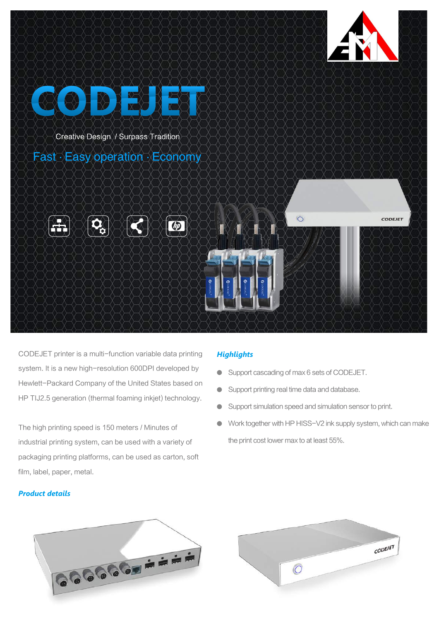



CODEJET printer is a multi-function variable data printing system. It is a new high-resolution 600DPI developed by Hewlett-Packard Company of the United States based on HP TIJ2.5 generation (thermal foaming inkjet) technology.

The high printing speed is 150 meters / Minutes of industrial printing system, can be used with a variety of packaging printing platforms, can be used as carton, soft film, label, paper, metal.

### *Product details*

# *Highlights*

- Support cascading of max 6 sets of CODEJET.
- Support printing real time data and database.  $\bullet$
- Support simulation speed and simulation sensor to print.  $\bullet$
- Work together with HP HISS-V2 ink supply system, which can make the print cost lower max to at least 55%.